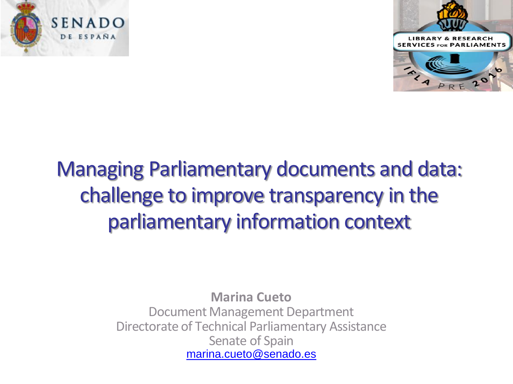



# Managing Parliamentary documents and data: challenge to improve transparency in the parliamentary information context

**Marina Cueto**  Document Management Department Directorate of Technical Parliamentary Assistance Senate of Spain [marina.cueto@senado.es](mailto:marina.cueto@senado.es)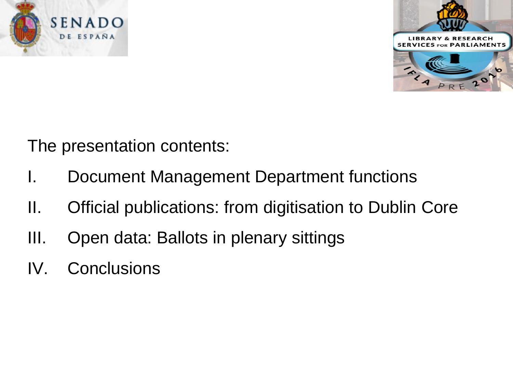



The presentation contents:

- I. Document Management Department functions
- II. Official publications: from digitisation to Dublin Core
- III. Open data: Ballots in plenary sittings
- IV. Conclusions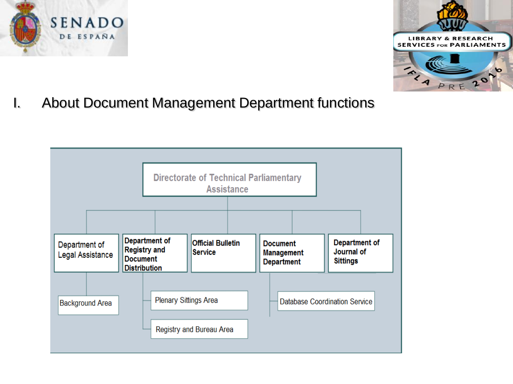



I. About Document Management Department functions

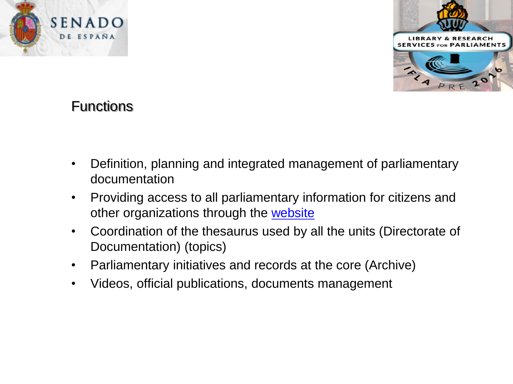

# **Functions**

SENADO DE ESPAÑA

- Definition, planning and integrated management of parliamentary documentation
- Providing access to all parliamentary information for citizens and other organizations through the [website](http://www.senado.es/web/index.html?lang=en)
- Coordination of the thesaurus used by all the units (Directorate of Documentation) (topics)
- Parliamentary initiatives and records at the core (Archive)
- Videos, official publications, documents management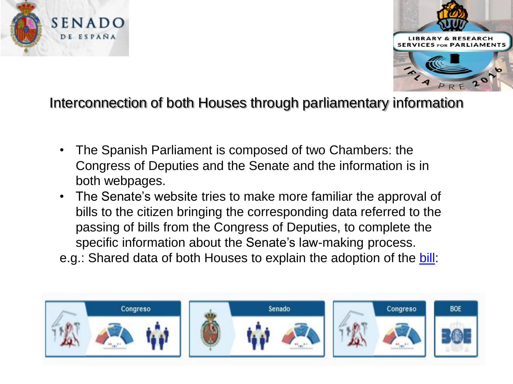



### Interconnection of both Houses through parliamentary information

- The Spanish Parliament is composed of two Chambers: the Congress of Deputies and the Senate and the information is in both webpages.
- The Senate's website tries to make more familiar the approval of bills to the citizen bringing the corresponding data referred to the passing of bills from the Congress of Deputies, to complete the specific information about the Senate's law-making process.
- e.g.: Shared data of both Houses to explain the adoption of the [bill:](http://www.senado.es/web/actividadparlamentaria/iniciativas/detalleiniciativa/index.html?lang=en&legis=10&id1=621&id2=000072)

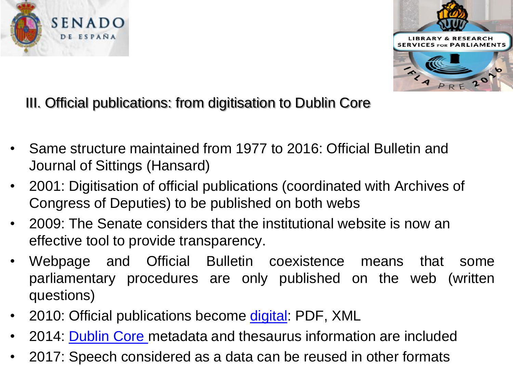



III. Official publications: from digitisation to Dublin Core

- Same structure maintained from 1977 to 2016: Official Bulletin and Journal of Sittings (Hansard)
- 2001: Digitisation of official publications (coordinated with Archives of Congress of Deputies) to be published on both webs
- 2009: The Senate considers that the institutional website is now an effective tool to provide transparency.
- Webpage and Official Bulletin coexistence means that some parliamentary procedures are only published on the web (written questions)
- 2010: Official publications become [digital](http://www.senado.es/web/actividadparlamentaria/publicacionesoficiales/senado/boletinesoficiales/index.html?id=02062015&aFilter=d): PDF, XML
- 2014: [Dublin Core m](http://www.senado.es/legis10/publicaciones/xml/senado/bocg/BOCG_T_10_533.XML)etadata and thesaurus information are included
- 2017: Speech considered as a data can be reused in other formats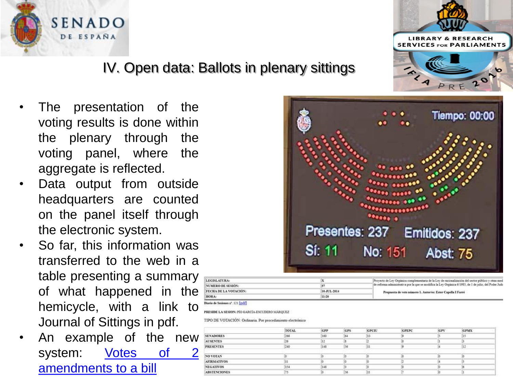

### IV. Open data: Ballots in plenary sittings

- The presentation of the voting results is done within the plenary through the voting panel, where the aggregate is reflected.
- Data output from outside headquarters are counted on the panel itself through the electronic system.
- So far, this information was transferred to the web in a table presenting a summary of what happened in the hemicycle, with a link to Journal of Sittings in pdf.
- An example of the new system: [Votes](http://www.senado.es/web/actividadparlamentaria/sesionesplenarias/pleno/rwdsesionespleno/detalle/votaciones/index.html?sp=68&legis=10&id1=57&id2=4606) [of](http://www.senado.es/web/actividadparlamentaria/sesionesplenarias/pleno/rwdsesionespleno/detalle/votaciones/index.html?sp=68&legis=10&id1=57&id2=4606) [2](http://www.senado.es/web/actividadparlamentaria/sesionesplenarias/pleno/rwdsesionespleno/detalle/votaciones/index.html?sp=68&legis=10&id1=57&id2=4606) [amendments](http://www.senado.es/web/actividadparlamentaria/sesionesplenarias/pleno/rwdsesionespleno/detalle/votaciones/index.html?sp=68&legis=10&id1=57&id2=4606) [to](http://www.senado.es/web/actividadparlamentaria/sesionesplenarias/pleno/rwdsesionespleno/detalle/votaciones/index.html?sp=68&legis=10&id1=57&id2=4606) [a](http://www.senado.es/web/actividadparlamentaria/sesionesplenarias/pleno/rwdsesionespleno/detalle/votaciones/index.html?sp=68&legis=10&id1=57&id2=4606) [bill](http://www.senado.es/web/actividadparlamentaria/sesionesplenarias/pleno/rwdsesionespleno/detalle/votaciones/index.html?sp=68&legis=10&id1=57&id2=4606)

|               | <b>Tiempo: 00:00</b>                             |
|---------------|--------------------------------------------------|
|               |                                                  |
|               |                                                  |
|               |                                                  |
|               |                                                  |
|               |                                                  |
|               |                                                  |
|               |                                                  |
| <b>Si: 11</b> | Presentes: 237 Emitidos: 237<br>No: 151 Abst: 75 |

| LEGISLATURA:                 |             | Provecto de Ley Orgánica complementaria de la Ley de racionalización del sector público y otras med     |  |  |  |
|------------------------------|-------------|---------------------------------------------------------------------------------------------------------|--|--|--|
| NUMERO DE SESIÓN:            |             | de reforma administrativa por la que se modifica la Ley Orgánica 6/1985, de 1 de julio, del Poder Judi- |  |  |  |
| <b>FECHA DE LA VOTACIÓN:</b> | 10 JUL-2014 | Propuesta de veto número 1. Autor/es: Ester Capella I Farré                                             |  |  |  |
| <b>HORA:</b>                 | 11:20       |                                                                                                         |  |  |  |

#### Diario de Sesiones nº. 121 [pdf]

PRESIDE LA SESION: PÍO GARCÍA-ESCUDERO MÁRQUEZ

TIPO DE VOTACIÓN: Ordinaria. Por procedimiento electrónico

|                                         | <b>TOTAL</b> | GPP | anotone<br>GPS | GPCTU | <b>GPEPC</b> | GPV | <b>GPMX</b> |
|-----------------------------------------|--------------|-----|----------------|-------|--------------|-----|-------------|
| <b>SENADORES</b>                        | 266          | 160 | 164            | 13    |              |     | 15          |
| <b>AUSENTES</b>                         |              |     |                |       |              |     |             |
| <b>PRESENTES</b>                        | 240          | 145 | 56             | 31    |              |     | 12          |
| <b><i>DESCRIPTION AND RESIDENCE</i></b> |              |     |                |       |              |     |             |
| <b>NO VOTAN</b>                         |              |     |                |       |              |     |             |
| <b>AFIRMATIVOS</b>                      |              |     |                |       |              |     |             |
| <b>NEGATIVOS</b>                        | 154          | 145 |                |       |              |     |             |
| <b>ABSTENCIONES</b>                     |              |     | 56             | 31    |              |     |             |

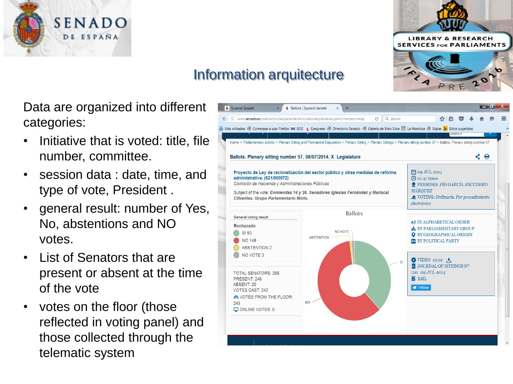



# Information arquitecture

Data are organized into different categories:

- Initiative that is voted: title, file number, committee.
- session data : date, time, and type of vote, President .
- general result: number of Yes, No, abstentions and NO votes.
- List of Senators that are present or absent at the time of the vote
- votes on the floor (those reflected in voting panel) and those collected through the telematic system

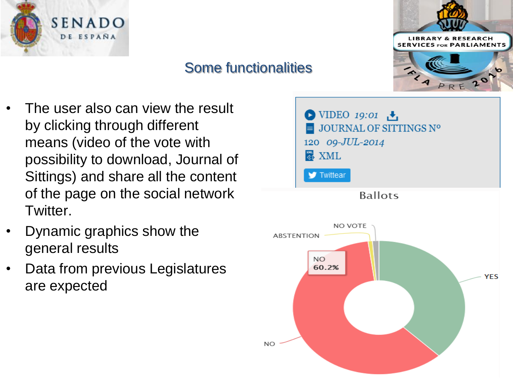

## Some functionalities



- The user also can view the result by clicking through different means (video of the vote with possibility to download, Journal of Sittings) and share all the content of the page on the social network Twitter.
- Dynamic graphics show the general results
- Data from previous Legislatures are expected